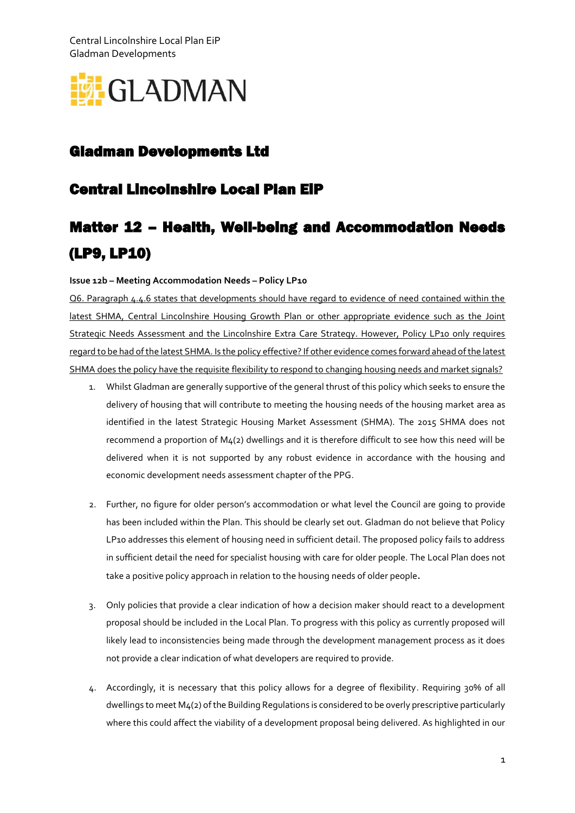Central Lincolnshire Local Plan EiP Gladman Developments



## Gladman Developments Ltd

## Central Lincolnshire Local Plan EiP

## Matter 12 – Health, Well-being and Accommodation Needs (LP9, LP10)

## **Issue 12b – Meeting Accommodation Needs – Policy LP10**

Q6. Paragraph 4.4.6 states that developments should have regard to evidence of need contained within the latest SHMA, Central Lincolnshire Housing Growth Plan or other appropriate evidence such as the Joint Strategic Needs Assessment and the Lincolnshire Extra Care Strategy. However, Policy LP10 only requires regard to be had of the latest SHMA. Is the policy effective? If other evidence comes forward ahead of the latest SHMA does the policy have the requisite flexibility to respond to changing housing needs and market signals?

- 1. Whilst Gladman are generally supportive of the general thrust of this policy which seeks to ensure the delivery of housing that will contribute to meeting the housing needs of the housing market area as identified in the latest Strategic Housing Market Assessment (SHMA). The 2015 SHMA does not recommend a proportion of M4(2) dwellings and it is therefore difficult to see how this need will be delivered when it is not supported by any robust evidence in accordance with the housing and economic development needs assessment chapter of the PPG.
- 2. Further, no figure for older person's accommodation or what level the Council are going to provide has been included within the Plan. This should be clearly set out. Gladman do not believe that Policy LP10 addresses this element of housing need in sufficient detail. The proposed policy fails to address in sufficient detail the need for specialist housing with care for older people. The Local Plan does not take a positive policy approach in relation to the housing needs of older people.
- 3. Only policies that provide a clear indication of how a decision maker should react to a development proposal should be included in the Local Plan. To progress with this policy as currently proposed will likely lead to inconsistencies being made through the development management process as it does not provide a clear indication of what developers are required to provide.
- 4. Accordingly, it is necessary that this policy allows for a degree of flexibility. Requiring 30% of all dwellings to meet M4(2) of the Building Regulations is considered to be overly prescriptive particularly where this could affect the viability of a development proposal being delivered. As highlighted in our